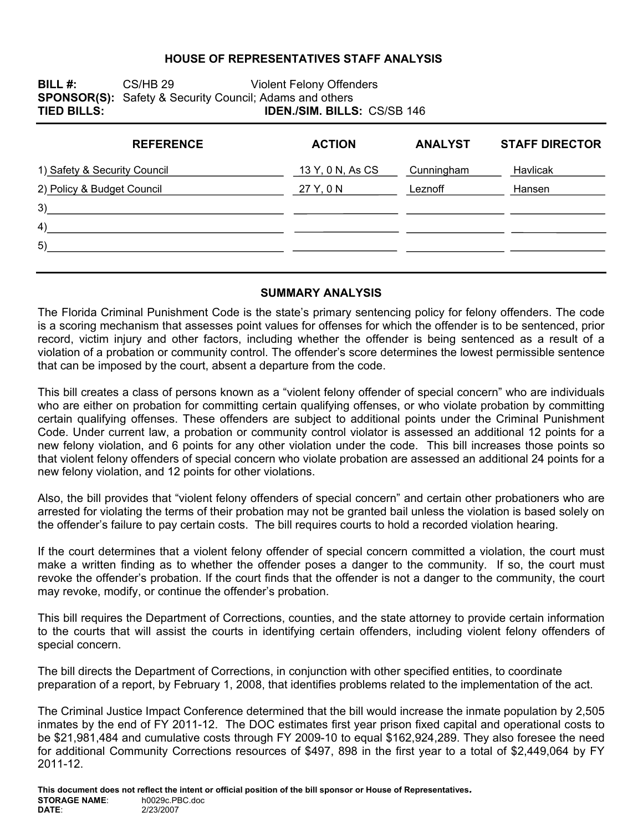#### **HOUSE OF REPRESENTATIVES STAFF ANALYSIS**

**BILL #:** CS/HB 29 Violent Felony Offenders **SPONSOR(S):** Safety & Security Council; Adams and others<br>**TIED BILLS: IDEN./SIM. BILLS IDEN./SIM. BILLS: CS/SB 146** 

| <b>REFERENCE</b>             | <b>ACTION</b>    | <b>ANALYST</b> | <b>STAFF DIRECTOR</b> |
|------------------------------|------------------|----------------|-----------------------|
| 1) Safety & Security Council | 13 Y, 0 N, As CS | Cunningham     | Havlicak              |
| 2) Policy & Budget Council   | 27 Y, 0 N        | Leznoff        | Hansen                |
| 3)                           |                  |                |                       |
| 4)                           |                  |                |                       |
| 5)                           |                  |                |                       |
|                              |                  |                |                       |

#### **SUMMARY ANALYSIS**

The Florida Criminal Punishment Code is the state's primary sentencing policy for felony offenders. The code is a scoring mechanism that assesses point values for offenses for which the offender is to be sentenced, prior record, victim injury and other factors, including whether the offender is being sentenced as a result of a violation of a probation or community control. The offender's score determines the lowest permissible sentence that can be imposed by the court, absent a departure from the code.

This bill creates a class of persons known as a "violent felony offender of special concern" who are individuals who are either on probation for committing certain qualifying offenses, or who violate probation by committing certain qualifying offenses. These offenders are subject to additional points under the Criminal Punishment Code. Under current law, a probation or community control violator is assessed an additional 12 points for a new felony violation, and 6 points for any other violation under the code. This bill increases those points so that violent felony offenders of special concern who violate probation are assessed an additional 24 points for a new felony violation, and 12 points for other violations.

Also, the bill provides that "violent felony offenders of special concern" and certain other probationers who are arrested for violating the terms of their probation may not be granted bail unless the violation is based solely on the offender's failure to pay certain costs. The bill requires courts to hold a recorded violation hearing.

If the court determines that a violent felony offender of special concern committed a violation, the court must make a written finding as to whether the offender poses a danger to the community. If so, the court must revoke the offender's probation. If the court finds that the offender is not a danger to the community, the court may revoke, modify, or continue the offender's probation.

This bill requires the Department of Corrections, counties, and the state attorney to provide certain information to the courts that will assist the courts in identifying certain offenders, including violent felony offenders of special concern.

The bill directs the Department of Corrections, in conjunction with other specified entities, to coordinate preparation of a report, by February 1, 2008, that identifies problems related to the implementation of the act.

The Criminal Justice Impact Conference determined that the bill would increase the inmate population by 2,505 inmates by the end of FY 2011-12. The DOC estimates first year prison fixed capital and operational costs to be \$21,981,484 and cumulative costs through FY 2009-10 to equal \$162,924,289. They also foresee the need for additional Community Corrections resources of \$497, 898 in the first year to a total of \$2,449,064 by FY 2011-12.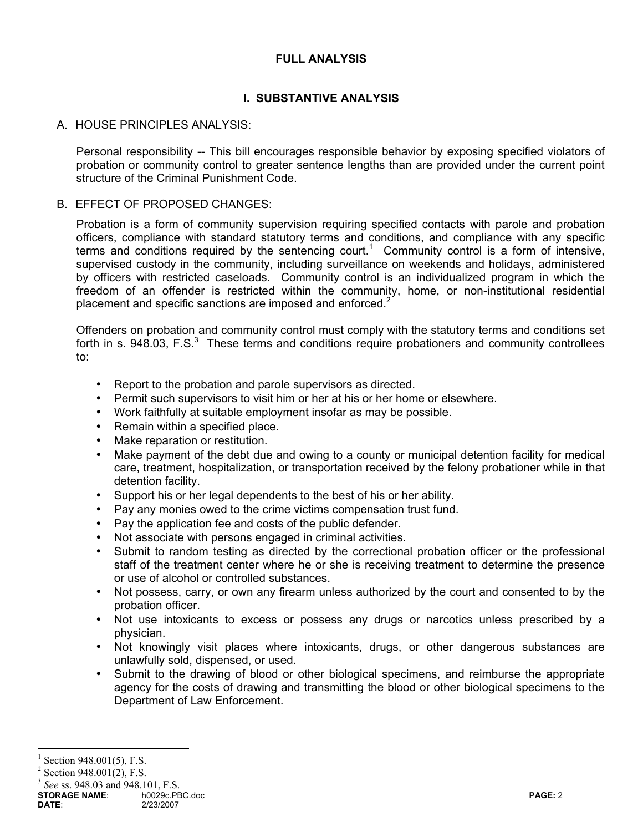# **FULL ANALYSIS**

# **I. SUBSTANTIVE ANALYSIS**

# A. HOUSE PRINCIPLES ANALYSIS:

Personal responsibility -- This bill encourages responsible behavior by exposing specified violators of probation or community control to greater sentence lengths than are provided under the current point structure of the Criminal Punishment Code.

### B. EFFECT OF PROPOSED CHANGES:

Probation is a form of community supervision requiring specified contacts with parole and probation officers, compliance with standard statutory terms and conditions, and compliance with any specific terms and conditions required by the sentencing court.<sup>1</sup> Community control is a form of intensive, supervised custody in the community, including surveillance on weekends and holidays, administered by officers with restricted caseloads. Community control is an individualized program in which the freedom of an offender is restricted within the community, home, or non-institutional residential placement and specific sanctions are imposed and enforced.<sup>2</sup>

Offenders on probation and community control must comply with the statutory terms and conditions set forth in s. 948.03, F.S. $3$  These terms and conditions require probationers and community controllees to:

- Report to the probation and parole supervisors as directed.
- Permit such supervisors to visit him or her at his or her home or elsewhere.
- Work faithfully at suitable employment insofar as may be possible.
- Remain within a specified place.
- Make reparation or restitution.
- Make payment of the debt due and owing to a county or municipal detention facility for medical care, treatment, hospitalization, or transportation received by the felony probationer while in that detention facility.
- Support his or her legal dependents to the best of his or her ability.
- Pay any monies owed to the crime victims compensation trust fund.
- Pay the application fee and costs of the public defender.
- Not associate with persons engaged in criminal activities.
- Submit to random testing as directed by the correctional probation officer or the professional staff of the treatment center where he or she is receiving treatment to determine the presence or use of alcohol or controlled substances.
- Not possess, carry, or own any firearm unless authorized by the court and consented to by the probation officer.
- Not use intoxicants to excess or possess any drugs or narcotics unless prescribed by a physician.
- Not knowingly visit places where intoxicants, drugs, or other dangerous substances are unlawfully sold, dispensed, or used.
- Submit to the drawing of blood or other biological specimens, and reimburse the appropriate agency for the costs of drawing and transmitting the blood or other biological specimens to the Department of Law Enforcement.

 $\overline{a}$ 

<sup>1</sup> Section 948.001(5), F.S.

 $2$  Section 948.001(2), F.S.

<sup>3</sup> *See* ss. 948.03 and 948.101, F.S.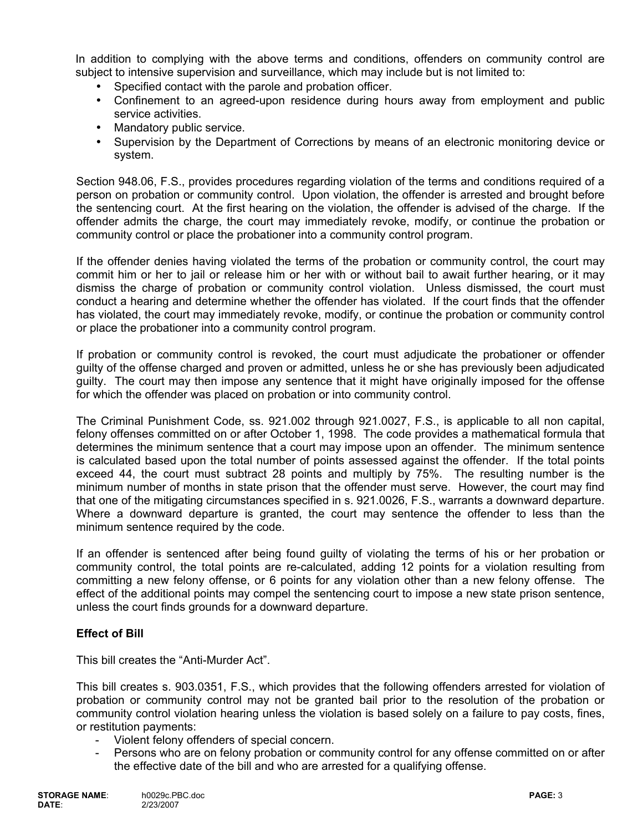In addition to complying with the above terms and conditions, offenders on community control are subject to intensive supervision and surveillance, which may include but is not limited to:

- Specified contact with the parole and probation officer.
- Confinement to an agreed-upon residence during hours away from employment and public service activities.
- Mandatory public service.
- Supervision by the Department of Corrections by means of an electronic monitoring device or system.

Section 948.06, F.S., provides procedures regarding violation of the terms and conditions required of a person on probation or community control. Upon violation, the offender is arrested and brought before the sentencing court. At the first hearing on the violation, the offender is advised of the charge. If the offender admits the charge, the court may immediately revoke, modify, or continue the probation or community control or place the probationer into a community control program.

If the offender denies having violated the terms of the probation or community control, the court may commit him or her to jail or release him or her with or without bail to await further hearing, or it may dismiss the charge of probation or community control violation. Unless dismissed, the court must conduct a hearing and determine whether the offender has violated. If the court finds that the offender has violated, the court may immediately revoke, modify, or continue the probation or community control or place the probationer into a community control program.

If probation or community control is revoked, the court must adjudicate the probationer or offender guilty of the offense charged and proven or admitted, unless he or she has previously been adjudicated guilty. The court may then impose any sentence that it might have originally imposed for the offense for which the offender was placed on probation or into community control.

The Criminal Punishment Code, ss. 921.002 through 921.0027, F.S., is applicable to all non capital, felony offenses committed on or after October 1, 1998. The code provides a mathematical formula that determines the minimum sentence that a court may impose upon an offender. The minimum sentence is calculated based upon the total number of points assessed against the offender. If the total points exceed 44, the court must subtract 28 points and multiply by 75%. The resulting number is the minimum number of months in state prison that the offender must serve. However, the court may find that one of the mitigating circumstances specified in s. 921.0026, F.S., warrants a downward departure. Where a downward departure is granted, the court may sentence the offender to less than the minimum sentence required by the code.

If an offender is sentenced after being found guilty of violating the terms of his or her probation or community control, the total points are re-calculated, adding 12 points for a violation resulting from committing a new felony offense, or 6 points for any violation other than a new felony offense. The effect of the additional points may compel the sentencing court to impose a new state prison sentence, unless the court finds grounds for a downward departure.

# **Effect of Bill**

This bill creates the "Anti-Murder Act".

This bill creates s. 903.0351, F.S., which provides that the following offenders arrested for violation of probation or community control may not be granted bail prior to the resolution of the probation or community control violation hearing unless the violation is based solely on a failure to pay costs, fines, or restitution payments:

- Violent felony offenders of special concern.
- Persons who are on felony probation or community control for any offense committed on or after the effective date of the bill and who are arrested for a qualifying offense.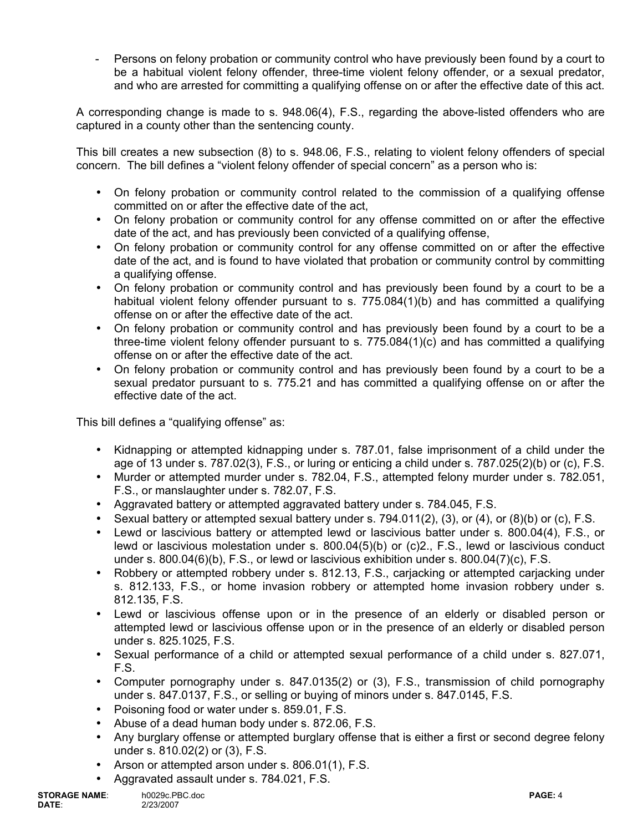Persons on felony probation or community control who have previously been found by a court to be a habitual violent felony offender, three-time violent felony offender, or a sexual predator, and who are arrested for committing a qualifying offense on or after the effective date of this act.

A corresponding change is made to s. 948.06(4), F.S., regarding the above-listed offenders who are captured in a county other than the sentencing county.

This bill creates a new subsection (8) to s. 948.06, F.S., relating to violent felony offenders of special concern. The bill defines a "violent felony offender of special concern" as a person who is:

- On felony probation or community control related to the commission of a qualifying offense committed on or after the effective date of the act,
- On felony probation or community control for any offense committed on or after the effective date of the act, and has previously been convicted of a qualifying offense,
- On felony probation or community control for any offense committed on or after the effective date of the act, and is found to have violated that probation or community control by committing a qualifying offense.
- On felony probation or community control and has previously been found by a court to be a habitual violent felony offender pursuant to s. 775.084(1)(b) and has committed a qualifying offense on or after the effective date of the act.
- On felony probation or community control and has previously been found by a court to be a three-time violent felony offender pursuant to s. 775.084(1)(c) and has committed a qualifying offense on or after the effective date of the act.
- On felony probation or community control and has previously been found by a court to be a sexual predator pursuant to s. 775.21 and has committed a qualifying offense on or after the effective date of the act.

This bill defines a "qualifying offense" as:

- Kidnapping or attempted kidnapping under s. 787.01, false imprisonment of a child under the age of 13 under s. 787.02(3), F.S., or luring or enticing a child under s. 787.025(2)(b) or (c), F.S.
- Murder or attempted murder under s. 782.04, F.S., attempted felony murder under s. 782.051, F.S., or manslaughter under s. 782.07, F.S.
- Aggravated battery or attempted aggravated battery under s. 784.045, F.S.
- Sexual battery or attempted sexual battery under s.  $794.011(2)$ ,  $(3)$ , or  $(4)$ , or  $(8)(b)$  or  $(c)$ , F.S.
- Lewd or lascivious battery or attempted lewd or lascivious batter under s. 800.04(4), F.S., or lewd or lascivious molestation under s. 800.04(5)(b) or (c)2., F.S., lewd or lascivious conduct under s. 800.04(6)(b), F.S., or lewd or lascivious exhibition under s. 800.04(7)(c), F.S.
- Robbery or attempted robbery under s. 812.13, F.S., cariacking or attempted cariacking under s. 812.133, F.S., or home invasion robbery or attempted home invasion robbery under s. 812.135, F.S.
- Lewd or lascivious offense upon or in the presence of an elderly or disabled person or attempted lewd or lascivious offense upon or in the presence of an elderly or disabled person under s. 825.1025, F.S.
- Sexual performance of a child or attempted sexual performance of a child under s. 827.071, F.S.
- Computer pornography under s. 847.0135(2) or (3), F.S., transmission of child pornography under s. 847.0137, F.S., or selling or buying of minors under s. 847.0145, F.S.
- Poisoning food or water under s. 859.01, F.S.
- Abuse of a dead human body under s. 872.06, F.S.
- Any burglary offense or attempted burglary offense that is either a first or second degree felony under s. 810.02(2) or (3), F.S.
- Arson or attempted arson under s. 806.01(1), F.S.
- Aggravated assault under s. 784.021, F.S.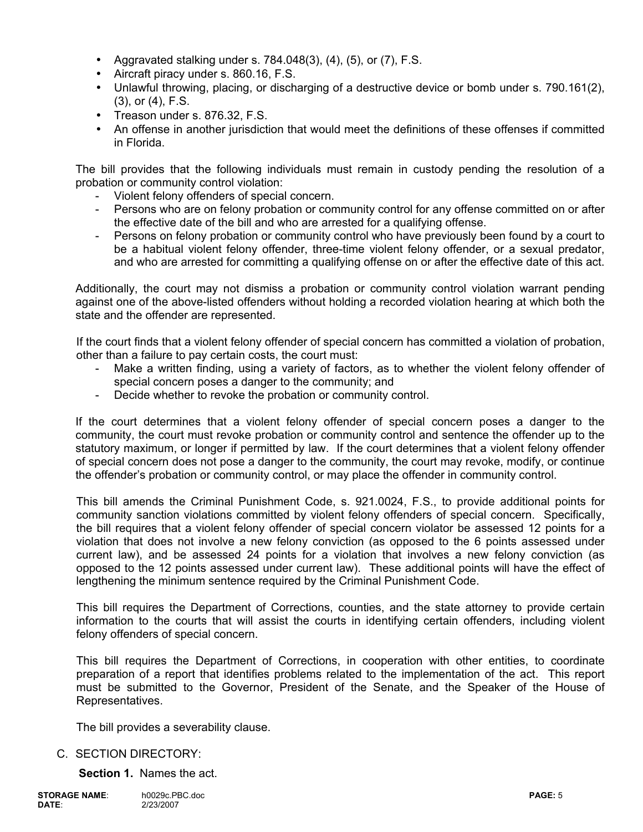- Aggravated stalking under s.  $784.048(3)$ ,  $(4)$ ,  $(5)$ , or  $(7)$ , F.S.
- Aircraft piracy under s. 860.16, F.S.
- Unlawful throwing, placing, or discharging of a destructive device or bomb under s. 790.161(2), (3), or (4), F.S.
- Treason under s. 876.32, F.S.
- An offense in another jurisdiction that would meet the definitions of these offenses if committed in Florida.

The bill provides that the following individuals must remain in custody pending the resolution of a probation or community control violation:

- Violent felony offenders of special concern.
- Persons who are on felony probation or community control for any offense committed on or after the effective date of the bill and who are arrested for a qualifying offense.
- Persons on felony probation or community control who have previously been found by a court to be a habitual violent felony offender, three-time violent felony offender, or a sexual predator, and who are arrested for committing a qualifying offense on or after the effective date of this act.

Additionally, the court may not dismiss a probation or community control violation warrant pending against one of the above-listed offenders without holding a recorded violation hearing at which both the state and the offender are represented.

If the court finds that a violent felony offender of special concern has committed a violation of probation, other than a failure to pay certain costs, the court must:

- Make a written finding, using a variety of factors, as to whether the violent felony offender of special concern poses a danger to the community; and
- Decide whether to revoke the probation or community control.

If the court determines that a violent felony offender of special concern poses a danger to the community, the court must revoke probation or community control and sentence the offender up to the statutory maximum, or longer if permitted by law. If the court determines that a violent felony offender of special concern does not pose a danger to the community, the court may revoke, modify, or continue the offender's probation or community control, or may place the offender in community control.

This bill amends the Criminal Punishment Code, s. 921.0024, F.S., to provide additional points for community sanction violations committed by violent felony offenders of special concern. Specifically, the bill requires that a violent felony offender of special concern violator be assessed 12 points for a violation that does not involve a new felony conviction (as opposed to the 6 points assessed under current law), and be assessed 24 points for a violation that involves a new felony conviction (as opposed to the 12 points assessed under current law). These additional points will have the effect of lengthening the minimum sentence required by the Criminal Punishment Code.

This bill requires the Department of Corrections, counties, and the state attorney to provide certain information to the courts that will assist the courts in identifying certain offenders, including violent felony offenders of special concern.

This bill requires the Department of Corrections, in cooperation with other entities, to coordinate preparation of a report that identifies problems related to the implementation of the act. This report must be submitted to the Governor, President of the Senate, and the Speaker of the House of Representatives.

The bill provides a severability clause.

# C. SECTION DIRECTORY:

**Section 1.** Names the act.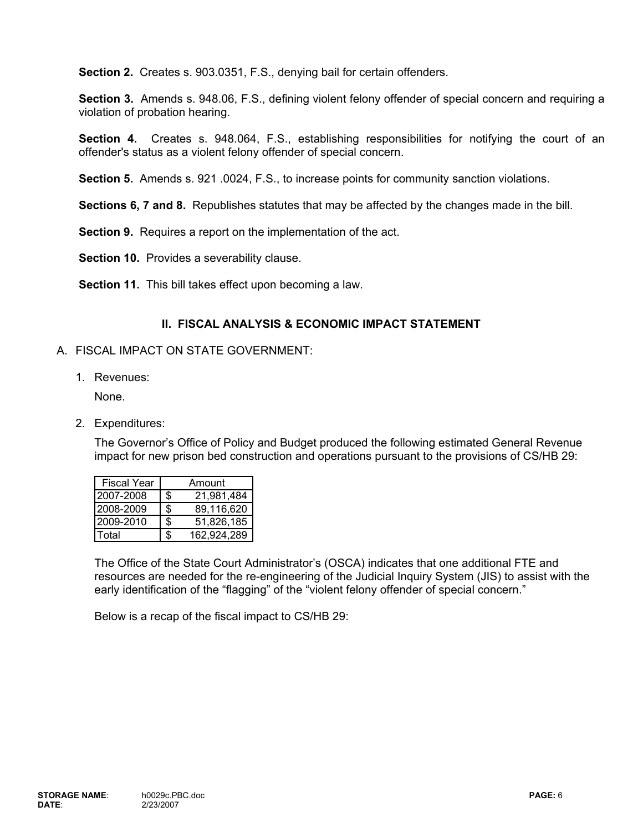**Section 2.** Creates s. 903.0351, F.S., denying bail for certain offenders.

**Section 3.** Amends s. 948.06, F.S., defining violent felony offender of special concern and requiring a violation of probation hearing.

**Section 4.** Creates s. 948.064, F.S., establishing responsibilities for notifying the court of an offender's status as a violent felony offender of special concern.

**Section 5.** Amends s. 921 .0024, F.S., to increase points for community sanction violations.

**Sections 6, 7 and 8.** Republishes statutes that may be affected by the changes made in the bill.

**Section 9.** Requires a report on the implementation of the act.

**Section 10.** Provides a severability clause.

**Section 11.** This bill takes effect upon becoming a law.

### **II. FISCAL ANALYSIS & ECONOMIC IMPACT STATEMENT**

#### A. FISCAL IMPACT ON STATE GOVERNMENT:

1. Revenues:

None.

2. Expenditures:

The Governor's Office of Policy and Budget produced the following estimated General Revenue impact for new prison bed construction and operations pursuant to the provisions of CS/HB 29:

| <b>Fiscal Year</b> |     | Amount      |
|--------------------|-----|-------------|
| 12007-2008         | \$  | 21,981,484  |
| 2008-2009          | \$  | 89,116,620  |
| 2009-2010          | \$. | 51,826,185  |
| otal <sup>-</sup>  |     | 162,924,289 |

The Office of the State Court Administrator's (OSCA) indicates that one additional FTE and resources are needed for the re-engineering of the Judicial Inquiry System (JIS) to assist with the early identification of the "flagging" of the "violent felony offender of special concern."

Below is a recap of the fiscal impact to CS/HB 29: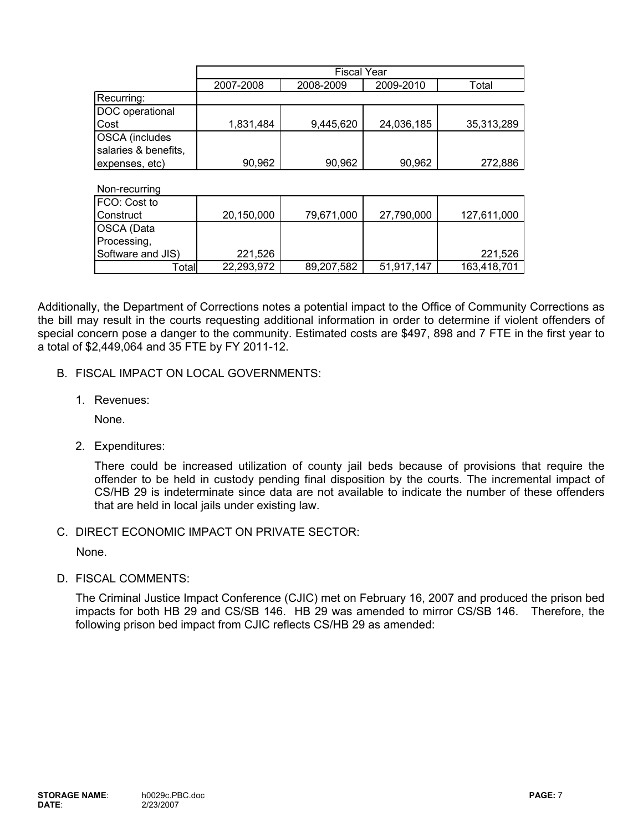|                       | <b>Fiscal Year</b> |            |            |             |
|-----------------------|--------------------|------------|------------|-------------|
|                       | 2007-2008          | 2008-2009  | 2009-2010  | Total       |
| Recurring:            |                    |            |            |             |
| DOC operational       |                    |            |            |             |
| Cost                  | 1,831,484          | 9,445,620  | 24,036,185 | 35,313,289  |
| <b>OSCA</b> (includes |                    |            |            |             |
| salaries & benefits,  |                    |            |            |             |
| expenses, etc)        | 90,962             | 90,962     | 90,962     | 272,886     |
|                       |                    |            |            |             |
| Non-recurring         |                    |            |            |             |
| FCO: Cost to          |                    |            |            |             |
| Construct             | 20,150,000         | 79,671,000 | 27,790,000 | 127,611,000 |
| OSCA (Data            |                    |            |            |             |
| Processing,           |                    |            |            |             |
| Software and JIS)     | 221,526            |            |            | 221,526     |

Additionally, the Department of Corrections notes a potential impact to the Office of Community Corrections as the bill may result in the courts requesting additional information in order to determine if violent offenders of special concern pose a danger to the community. Estimated costs are \$497, 898 and 7 FTE in the first year to a total of \$2,449,064 and 35 FTE by FY 2011-12.

Total 89,207,582 22,293,972 51,917,147 163,418,701

- B. FISCAL IMPACT ON LOCAL GOVERNMENTS:
	- 1. Revenues:

None.

2. Expenditures:

There could be increased utilization of county jail beds because of provisions that require the offender to be held in custody pending final disposition by the courts. The incremental impact of CS/HB 29 is indeterminate since data are not available to indicate the number of these offenders that are held in local jails under existing law.

C. DIRECT ECONOMIC IMPACT ON PRIVATE SECTOR:

None.

D. FISCAL COMMENTS:

The Criminal Justice Impact Conference (CJIC) met on February 16, 2007 and produced the prison bed impacts for both HB 29 and CS/SB 146. HB 29 was amended to mirror CS/SB 146. Therefore, the following prison bed impact from CJIC reflects CS/HB 29 as amended: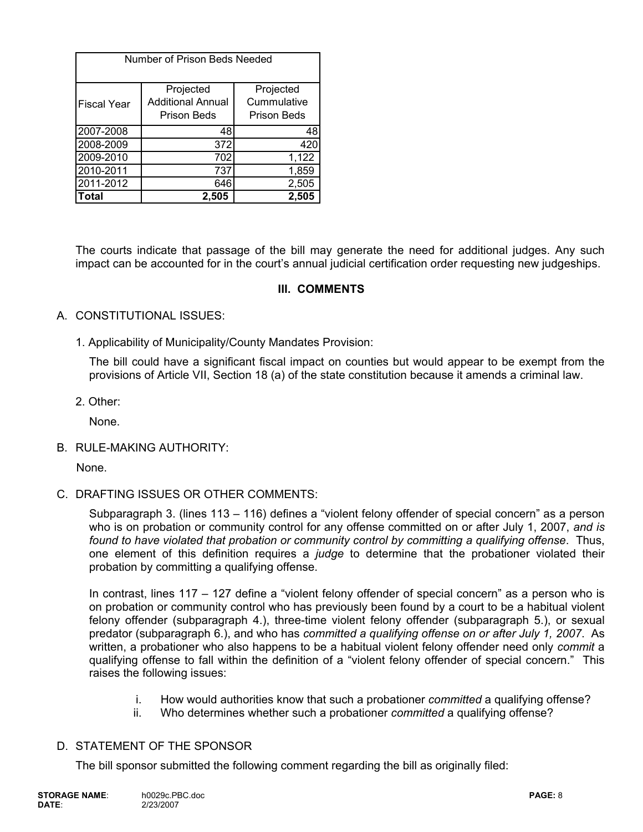| Number of Prison Beds Needed |                                                      |                                                |  |  |
|------------------------------|------------------------------------------------------|------------------------------------------------|--|--|
| <b>Fiscal Year</b>           | Projected<br><b>Additional Annual</b><br>Prison Beds | Projected<br>Cummulative<br><b>Prison Beds</b> |  |  |
| 2007-2008                    | 48                                                   | 48                                             |  |  |
| 2008-2009                    | 372                                                  | 420                                            |  |  |
| 2009-2010                    | 702                                                  | 1,122                                          |  |  |
| 2010-2011                    | 737                                                  | 1,859                                          |  |  |
| 2011-2012                    | 646                                                  | 2,505                                          |  |  |
| Total                        | 2,505                                                | 2,505                                          |  |  |

The courts indicate that passage of the bill may generate the need for additional judges. Any such impact can be accounted for in the court's annual judicial certification order requesting new judgeships.

# **III. COMMENTS**

### A. CONSTITUTIONAL ISSUES:

1. Applicability of Municipality/County Mandates Provision:

The bill could have a significant fiscal impact on counties but would appear to be exempt from the provisions of Article VII, Section 18 (a) of the state constitution because it amends a criminal law.

2. Other:

None.

B. RULE-MAKING AUTHORITY:

None.

C. DRAFTING ISSUES OR OTHER COMMENTS:

Subparagraph 3. (lines 113 – 116) defines a "violent felony offender of special concern" as a person who is on probation or community control for any offense committed on or after July 1, 2007, *and is found to have violated that probation or community control by committing a qualifying offense*. Thus, one element of this definition requires a *judge* to determine that the probationer violated their probation by committing a qualifying offense.

In contrast, lines 117 – 127 define a "violent felony offender of special concern" as a person who is on probation or community control who has previously been found by a court to be a habitual violent felony offender (subparagraph 4.), three-time violent felony offender (subparagraph 5.), or sexual predator (subparagraph 6.), and who has *committed a qualifying offense on or after July 1, 2007*. As written, a probationer who also happens to be a habitual violent felony offender need only *commit* a qualifying offense to fall within the definition of a "violent felony offender of special concern." This raises the following issues:

- i. How would authorities know that such a probationer *committed* a qualifying offense?
- ii. Who determines whether such a probationer *committed* a qualifying offense?

### D. STATEMENT OF THE SPONSOR

The bill sponsor submitted the following comment regarding the bill as originally filed: